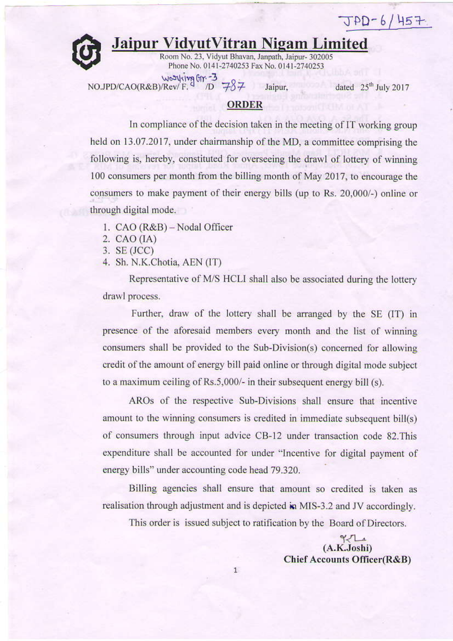$JPD-6/457$ 

## **Jaipur VidyutVitran Nigam Limited**

Room No. 23, Vidyut Bhavan, Janpath, Jaipur- 302005 Phone No. 0141-2740253 Fax No. 0141-2740253

NOJPD/CAO(R&B)/Rev/F. 9 TD 787 Jaipur. dated 25<sup>th</sup> July 2017

## **ORDER**

In compliance of the decision taken in the meeting of IT working group held on 13.07.2017, under chairmanship of the MD, a committee comprising the following is, hereby, constituted for overseeing the drawl of lottery of winning 100 consumers per month from the billing month of May 2017, to encourage the consumers to make payment of their energy bills (up to Rs. 20,000/-) online or through digital mode.

- 1. CAO (R&B) Nodal Officer
- 2.  $CAO(IA)$
- $3.$  SE (JCC)
- 4. Sh. N.K.Chotia, AEN (IT)

Representative of M/S HCLI shall also be associated during the lottery drawl process.

Further, draw of the lottery shall be arranged by the SE (IT) in presence of the aforesaid members every month and the list of winning consumers shall be provided to the Sub-Division(s) concerned for allowing credit of the amount of energy bill paid online or through digital mode subject to a maximum ceiling of Rs.5,000/- in their subsequent energy bill (s).

AROs of the respective Sub-Divisions shall ensure that incentive amount to the winning consumers is credited in immediate subsequent bill(s) of consumers through input advice CB-12 under transaction code 82. This expenditure shall be accounted for under "Incentive for digital payment of energy bills" under accounting code head 79.320.

Billing agencies shall ensure that amount so credited is taken as realisation through adjustment and is depicted in MIS-3.2 and JV accordingly.

This order is issued subject to ratification by the Board of Directors.

 $\gamma$  $(A.K.Joshi)$ **Chief Accounts Officer(R&B)**